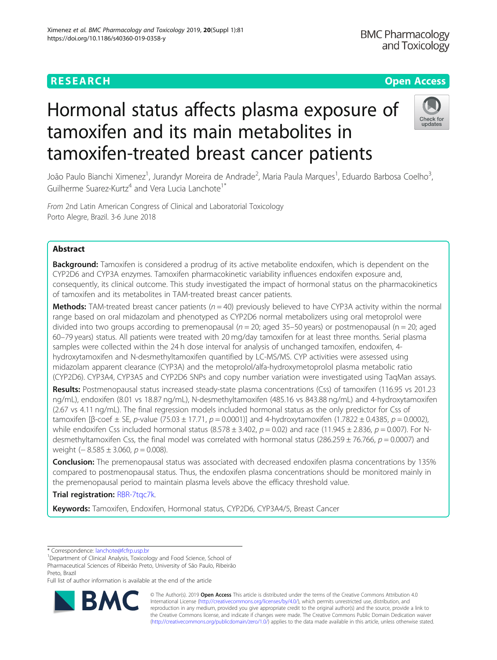## **RESEARCH CHEAR CHEAR CHEAR CHEAR CHEAR CHEAP CONTROL**

# Hormonal status affects plasma exposure of tamoxifen and its main metabolites in tamoxifen-treated breast cancer patients



João Paulo Bianchi Ximenez<sup>1</sup>, Jurandyr Moreira de Andrade<sup>2</sup>, Maria Paula Marques<sup>1</sup>, Eduardo Barbosa Coelho<sup>3</sup> , Guilherme Suarez-Kurtz<sup>4</sup> and Vera Lucia Lanchote<sup>1\*</sup>

From 2nd Latin American Congress of Clinical and Laboratorial Toxicology Porto Alegre, Brazil. 3-6 June 2018

### Abstract

Background: Tamoxifen is considered a prodrug of its active metabolite endoxifen, which is dependent on the CYP2D6 and CYP3A enzymes. Tamoxifen pharmacokinetic variability influences endoxifen exposure and, consequently, its clinical outcome. This study investigated the impact of hormonal status on the pharmacokinetics of tamoxifen and its metabolites in TAM-treated breast cancer patients.

**Methods:** TAM-treated breast cancer patients ( $n = 40$ ) previously believed to have CYP3A activity within the normal range based on oral midazolam and phenotyped as CYP2D6 normal metabolizers using oral metoprolol were divided into two groups according to premenopausal ( $n = 20$ ; aged 35–50 years) or postmenopausal ( $n = 20$ ; aged 60–79 years) status. All patients were treated with 20 mg/day tamoxifen for at least three months. Serial plasma samples were collected within the 24 h dose interval for analysis of unchanged tamoxifen, endoxifen, 4hydroxytamoxifen and N-desmethyltamoxifen quantified by LC-MS/MS. CYP activities were assessed using midazolam apparent clearance (CYP3A) and the metoprolol/alfa-hydroxymetoprolol plasma metabolic ratio (CYP2D6). CYP3A4, CYP3A5 and CYP2D6 SNPs and copy number variation were investigated using TaqMan assays.

Results: Postmenopausal status increased steady-state plasma concentrations (Css) of tamoxifen (116.95 vs 201.23 ng/mL), endoxifen (8.01 vs 18.87 ng/mL), N-desmethyltamoxifen (485.16 vs 843.88 ng/mL) and 4-hydroxytamoxifen (2.67 vs 4.11 ng/mL). The final regression models included hormonal status as the only predictor for Css of tamoxifen [β-coef  $\pm$  SE, p-value (75.03  $\pm$  17.71, p = 0.0001)] and 4-hydroxytamoxifen (1.7822  $\pm$  0.4385, p = 0.0002), while endoxifen Css included hormonal status (8.578  $\pm$  3.402,  $p = 0.02$ ) and race (11.945  $\pm$  2.836,  $p = 0.007$ ). For Ndesmethyltamoxifen Css, the final model was correlated with hormonal status (286.259  $\pm$  76.766, p = 0.0007) and weight  $(-8.585 \pm 3.060, p = 0.008)$ .

**Conclusion:** The premenopausal status was associated with decreased endoxifen plasma concentrations by 135% compared to postmenopausal status. Thus, the endoxifen plasma concentrations should be monitored mainly in the premenopausal period to maintain plasma levels above the efficacy threshold value.

Trial registration: RBR-7tgc7k.

Keywords: Tamoxifen, Endoxifen, Hormonal status, CYP2D6, CYP3A4/5, Breast Cancer

Full list of author information is available at the end of the article



© The Author(s). 2019 **Open Access** This article is distributed under the terms of the Creative Commons Attribution 4.0 International License [\(http://creativecommons.org/licenses/by/4.0/](http://creativecommons.org/licenses/by/4.0/)), which permits unrestricted use, distribution, and reproduction in any medium, provided you give appropriate credit to the original author(s) and the source, provide a link to the Creative Commons license, and indicate if changes were made. The Creative Commons Public Domain Dedication waiver [\(http://creativecommons.org/publicdomain/zero/1.0/](http://creativecommons.org/publicdomain/zero/1.0/)) applies to the data made available in this article, unless otherwise stated.

<sup>\*</sup> Correspondence: [lanchote@fcfrp.usp.br](mailto:lanchote@fcfrp.usp.br) <sup>1</sup>

<sup>&</sup>lt;sup>1</sup>Department of Clinical Analysis, Toxicology and Food Science, School of Pharmaceutical Sciences of Ribeirão Preto, University of São Paulo, Ribeirão Preto, Brazil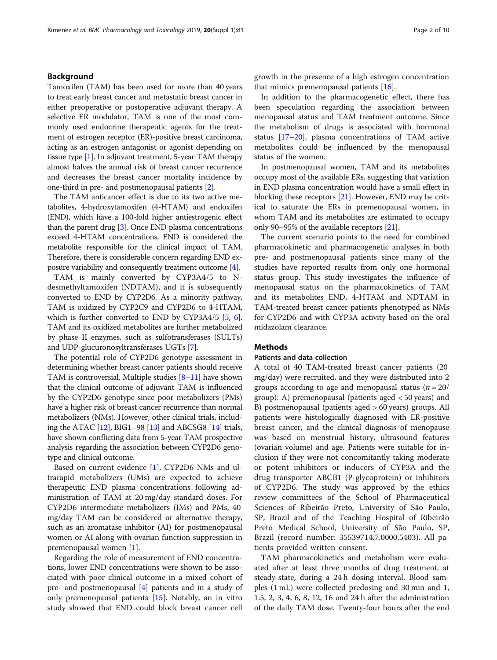#### Background

Tamoxifen (TAM) has been used for more than 40 years to treat early breast cancer and metastatic breast cancer in either preoperative or postoperative adjuvant therapy. A selective ER modulator, TAM is one of the most commonly used endocrine therapeutic agents for the treatment of estrogen receptor (ER)-positive breast carcinoma, acting as an estrogen antagonist or agonist depending on tissue type [\[1](#page-8-0)]. In adjuvant treatment, 5-year TAM therapy almost halves the annual risk of breast cancer recurrence and decreases the breast cancer mortality incidence by one-third in pre- and postmenopausal patients [[2](#page-8-0)].

The TAM anticancer effect is due to its two active metabolites, 4-hydroxytamoxifen (4-HTAM) and endoxifen (END), which have a 100-fold higher antiestrogenic effect than the parent drug [\[3\]](#page-8-0). Once END plasma concentrations exceed 4-HTAM concentrations, END is considered the metabolite responsible for the clinical impact of TAM. Therefore, there is considerable concern regarding END exposure variability and consequently treatment outcome [\[4\]](#page-8-0).

TAM is mainly converted by CYP3A4/5 to Ndesmethyltamoxifen (NDTAM), and it is subsequently converted to END by CYP2D6. As a minority pathway, TAM is oxidized by CYP2C9 and CYP2D6 to 4-HTAM, which is further converted to END by CYP3A4/5 [[5](#page-8-0), [6](#page-8-0)]. TAM and its oxidized metabolites are further metabolized by phase II enzymes, such as sulfotransferases (SULTs) and UDP-glucuronosyltransferases UGTs [[7\]](#page-8-0).

The potential role of CYP2D6 genotype assessment in determining whether breast cancer patients should receive TAM is controversial. Multiple studies [\[8](#page-8-0)–[11\]](#page-8-0) have shown that the clinical outcome of adjuvant TAM is influenced by the CYP2D6 genotype since poor metabolizers (PMs) have a higher risk of breast cancer recurrence than normal metabolizers (NMs). However, other clinical trials, including the ATAC [\[12](#page-8-0)], BIG1–98 [\[13\]](#page-8-0) and ABCSG8 [\[14](#page-8-0)] trials, have shown conflicting data from 5-year TAM prospective analysis regarding the association between CYP2D6 genotype and clinical outcome.

Based on current evidence [[1\]](#page-8-0), CYP2D6 NMs and ultrarapid metabolizers (UMs) are expected to achieve therapeutic END plasma concentrations following administration of TAM at 20 mg/day standard doses. For CYP2D6 intermediate metabolizers (IMs) and PMs, 40 mg/day TAM can be considered or alternative therapy, such as an aromatase inhibitor (AI) for postmenopausal women or AI along with ovarian function suppression in premenopausal women [[1\]](#page-8-0).

Regarding the role of measurement of END concentrations, lower END concentrations were shown to be associated with poor clinical outcome in a mixed cohort of pre- and postmenopausal [[4\]](#page-8-0) patients and in a study of only premenopausal patients [[15](#page-8-0)]. Notably, an in vitro study showed that END could block breast cancer cell growth in the presence of a high estrogen concentration that mimics premenopausal patients [[16](#page-8-0)].

In addition to the pharmacogenetic effect, there has been speculation regarding the association between menopausal status and TAM treatment outcome. Since the metabolism of drugs is associated with hormonal status [\[17](#page-8-0)–[20\]](#page-8-0), plasma concentrations of TAM active metabolites could be influenced by the menopausal status of the women.

In postmenopausal women, TAM and its metabolites occupy most of the available ERs, suggesting that variation in END plasma concentration would have a small effect in blocking these receptors  $[21]$ . However, END may be critical to saturate the ERs in premenopausal women, in whom TAM and its metabolites are estimated to occupy only 90–95% of the available receptors [\[21\]](#page-8-0).

The current scenario points to the need for combined pharmacokinetic and pharmacogenetic analyses in both pre- and postmenopausal patients since many of the studies have reported results from only one hormonal status group. This study investigates the influence of menopausal status on the pharmacokinetics of TAM and its metabolites END, 4-HTAM and NDTAM in TAM-treated breast cancer patients phenotyped as NMs for CYP2D6 and with CYP3A activity based on the oral midazolam clearance.

#### **Methods**

#### Patients and data collection

A total of 40 TAM-treated breast cancer patients (20 mg/day) were recruited, and they were distributed into 2 groups according to age and menopausal status ( $n = 20/$ ) group): A) premenopausal (patients aged < 50 years) and B) postmenopausal (patients aged > 60 years) groups. All patients were histologically diagnosed with ER-positive breast cancer, and the clinical diagnosis of menopause was based on menstrual history, ultrasound features (ovarian volume) and age. Patients were suitable for inclusion if they were not concomitantly taking moderate or potent inhibitors or inducers of CYP3A and the drug transporter ABCB1 (P-glycoprotein) or inhibitors of CYP2D6. The study was approved by the ethics review committees of the School of Pharmaceutical Sciences of Ribeirão Preto, University of São Paulo, SP, Brazil and of the Teaching Hospital of Ribeirão Preto Medical School, University of São Paulo, SP, Brazil (record number: 35539714.7.0000.5403). All patients provided written consent.

TAM pharmacokinetics and metabolism were evaluated after at least three months of drug treatment, at steady-state, during a 24 h dosing interval. Blood samples (1 mL) were collected predosing and 30 min and 1, 1.5, 2, 3, 4, 6, 8, 12, 16 and 24 h after the administration of the daily TAM dose. Twenty-four hours after the end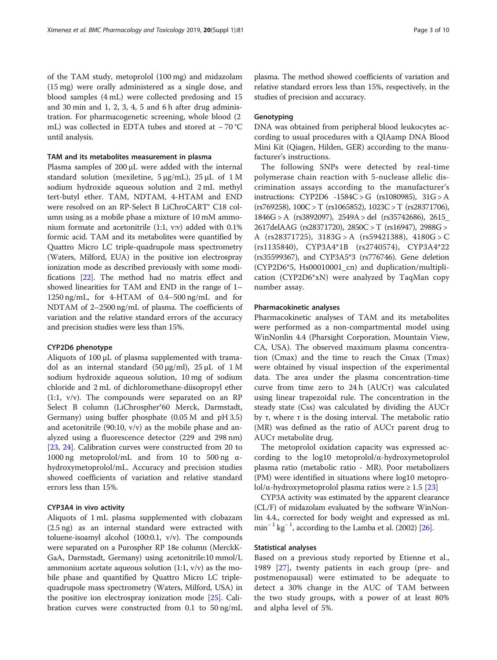of the TAM study, metoprolol (100 mg) and midazolam (15 mg) were orally administered as a single dose, and blood samples (4 mL) were collected predosing and 15 and 30 min and 1, 2, 3, 4, 5 and 6 h after drug administration. For pharmacogenetic screening, whole blood (2 mL) was collected in EDTA tubes and stored at − 70 °C until analysis.

#### TAM and its metabolites measurement in plasma

Plasma samples of 200 μL were added with the internal standard solution (mexiletine, 5 μg/mL), 25 μL of 1 M sodium hydroxide aqueous solution and 2 mL methyl tert-butyl ether. TAM, NDTAM, 4-HTAM and END were resolved on an RP-Select B LiChroCART® C18 column using as a mobile phase a mixture of 10 mM ammonium formate and acetonitrile (1:1, v:v) added with 0.1% formic acid. TAM and its metabolites were quantified by Quattro Micro LC triple-quadrupole mass spectrometry (Waters, Milford, EUA) in the positive ion electrospray ionization mode as described previously with some modifications [\[22\]](#page-8-0). The method had no matrix effect and showed linearities for TAM and END in the range of 1– 1250 ng/mL, for 4-HTAM of 0.4–500 ng/mL and for NDTAM of 2–2500 ng/mL of plasma. The coefficients of variation and the relative standard errors of the accuracy and precision studies were less than 15%.

#### CYP2D6 phenotype

Aliquots of 100 μL of plasma supplemented with tramadol as an internal standard (50 μg/ml),  $25 \mu L$  of 1 M sodium hydroxide aqueous solution, 10 mg of sodium chloride and 2 mL of dichloromethane-diisopropyl ether (1:1, v/v). The compounds were separated on an RP Select B column (LiChrospher®60 Merck, Darmstadt, Germany) using buffer phosphate (0.05 M and pH 3.5) and acetonitrile (90:10, v/v) as the mobile phase and analyzed using a fluorescence detector (229 and 298 nm) [[23,](#page-8-0) [24\]](#page-8-0). Calibration curves were constructed from 20 to 1000 ng metoprolol/mL and from 10 to 500 ng αhydroxymetoprolol/mL. Accuracy and precision studies showed coefficients of variation and relative standard errors less than 15%.

#### CYP3A4 in vivo activity

Aliquots of 1 mL plasma supplemented with clobazam (2.5 ng) as an internal standard were extracted with toluene-isoamyl alcohol (100:0.1, v/v). The compounds were separated on a Purospher RP 18e column (MerckK-GaA, Darmstadt, Germany) using acetonitrile:10 mmol/L ammonium acetate aqueous solution  $(1:1, v/v)$  as the mobile phase and quantified by Quattro Micro LC triplequadrupole mass spectrometry (Waters, Milford, USA) in the positive ion electrospray ionization mode [\[25\]](#page-8-0). Calibration curves were constructed from 0.1 to 50 ng/mL

plasma. The method showed coefficients of variation and relative standard errors less than 15%, respectively, in the studies of precision and accuracy.

#### **Genotyping**

DNA was obtained from peripheral blood leukocytes according to usual procedures with a QIAamp DNA Blood Mini Kit (Qiagen, Hilden, GER) according to the manufacturer's instructions.

The following SNPs were detected by real-time polymerase chain reaction with 5-nuclease allelic discrimination assays according to the manufacturer's instructions: CYP2D6 -1584C > G (rs1080985), 31G > A (rs769258), 100C > T (rs1065852), 1023C > T (rs28371706), 1846G > A (rs3892097), 2549A > del (rs35742686), 2615\_ 2617delAAG (rs28371720), 2850C > T (rs16947), 2988G > A  $(rs28371725)$ ,  $3183G > A$   $(rs59421388)$ ,  $4180G > C$ (rs1135840), CYP3A4\*1B (rs2740574), CYP3A4\*22 (rs35599367), and CYP3A5\*3 (rs776746). Gene deletion (CYP2D6\*5, Hs00010001\_cn) and duplication/multiplication (CYP2D6\*xN) were analyzed by TaqMan copy number assay.

#### Pharmacokinetic analyses

Pharmacokinetic analyses of TAM and its metabolites were performed as a non-compartmental model using WinNonlin 4.4 (Pharsight Corporation, Mountain View, CA, USA). The observed maximum plasma concentration (Cmax) and the time to reach the Cmax (Tmax) were obtained by visual inspection of the experimental data. The area under the plasma concentration-time curve from time zero to 24 h (AUCτ) was calculated using linear trapezoidal rule. The concentration in the steady state (Css) was calculated by dividing the AUCτ by τ, where τ is the dosing interval. The metabolic ratio (MR) was defined as the ratio of AUCτ parent drug to AUCτ metabolite drug.

The metoprolol oxidation capacity was expressed according to the log10 metoprolol/α-hydroxymetoprolol plasma ratio (metabolic ratio - MR). Poor metabolizers (PM) were identified in situations where log10 metoprolol/α-hydroxymetoprolol plasma ratios were ≥ 1.5 [\[23](#page-8-0)]

CYP3A activity was estimated by the apparent clearance (CL/F) of midazolam evaluated by the software WinNonlin 4.4., corrected for body weight and expressed as mL min<sup>-1</sup> kg<sup>-1</sup>, according to the Lamba et al. (2002) [\[26](#page-8-0)].

#### Statistical analyses

Based on a previous study reported by Etienne et al., 1989 [[27\]](#page-8-0), twenty patients in each group (pre- and postmenopausal) were estimated to be adequate to detect a 30% change in the AUC of TAM between the two study groups, with a power of at least 80% and alpha level of 5%.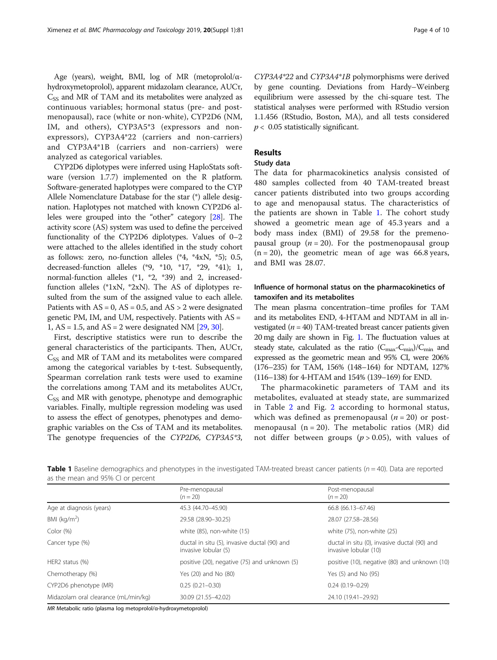<span id="page-3-0"></span>Age (years), weight, BMI, log of MR (metoprolol/ $\alpha$ hydroxymetoprolol), apparent midazolam clearance, AUCτ,  $C_{SS}$  and MR of TAM and its metabolites were analyzed as continuous variables; hormonal status (pre- and postmenopausal), race (white or non-white), CYP2D6 (NM, IM, and others), CYP3A5\*3 (expressors and nonexpressors), CYP3A4\*22 (carriers and non-carriers) and CYP3A4\*1B (carriers and non-carriers) were analyzed as categorical variables.

CYP2D6 diplotypes were inferred using HaploStats software (version 1.7.7) implemented on the R platform. Software-generated haplotypes were compared to the CYP Allele Nomenclature Database for the star (\*) allele designation. Haplotypes not matched with known CYP2D6 alleles were grouped into the "other" category [[28](#page-8-0)]. The activity score (AS) system was used to define the perceived functionality of the CYP2D6 diplotypes. Values of 0–2 were attached to the alleles identified in the study cohort as follows: zero, no-function alleles (\*4, \*4xN, \*5); 0.5, decreased-function alleles (\*9, \*10, \*17, \*29, \*41); 1, normal-function alleles (\*1, \*2, \*39) and 2, increasedfunction alleles (\*1xN, \*2xN). The AS of diplotypes resulted from the sum of the assigned value to each allele. Patients with  $AS = 0$ ,  $AS = 0.5$ , and  $AS > 2$  were designated genetic PM, IM, and UM, respectively. Patients with AS = 1,  $AS = 1.5$ , and  $AS = 2$  were designated NM [[29](#page-8-0), [30\]](#page-8-0).

First, descriptive statistics were run to describe the general characteristics of the participants. Then, AUCτ,  $C_{SS}$  and MR of TAM and its metabolites were compared among the categorical variables by t-test. Subsequently, Spearman correlation rank tests were used to examine the correlations among TAM and its metabolites AUCτ,  $C_{SS}$  and MR with genotype, phenotype and demographic variables. Finally, multiple regression modeling was used to assess the effect of genotypes, phenotypes and demographic variables on the Css of TAM and its metabolites. The genotype frequencies of the CYP2D6, CYP3A5\*3,

CYP3A4\*22 and CYP3A4\*1B polymorphisms were derived by gene counting. Deviations from Hardy–Weinberg equilibrium were assessed by the chi-square test. The statistical analyses were performed with RStudio version 1.1.456 (RStudio, Boston, MA), and all tests considered  $p < 0.05$  statistically significant.

#### Results

#### Study data

The data for pharmacokinetics analysis consisted of 480 samples collected from 40 TAM-treated breast cancer patients distributed into two groups according to age and menopausal status. The characteristics of the patients are shown in Table 1. The cohort study showed a geometric mean age of 45.3 years and a body mass index (BMI) of 29.58 for the premenopausal group ( $n = 20$ ). For the postmenopausal group  $(n = 20)$ , the geometric mean of age was 66.8 years, and BMI was 28.07.

#### Influence of hormonal status on the pharmacokinetics of tamoxifen and its metabolites

The mean plasma concentration–time profiles for TAM and its metabolites END, 4-HTAM and NDTAM in all investigated ( $n = 40$ ) TAM-treated breast cancer patients given 20 mg daily are shown in Fig. [1.](#page-4-0) The fluctuation values at steady state, calculated as the ratio  $(C_{\text{max}}-C_{\text{min}})/C_{\text{min}}$  and expressed as the geometric mean and 95% CI, were 206% (176–235) for TAM, 156% (148–164) for NDTAM, 127% (116–138) for 4-HTAM and 154% (139–169) for END.

The pharmacokinetic parameters of TAM and its metabolites, evaluated at steady state, are summarized in Table [2](#page-5-0) and Fig. [2](#page-6-0) according to hormonal status, which was defined as premenopausal  $(n = 20)$  or postmenopausal  $(n = 20)$ . The metabolic ratios  $(MR)$  did not differ between groups ( $p > 0.05$ ), with values of

| Table 1 Baseline demographics and phenotypes in the investigated TAM-treated breast cancer patients ( $n = 40$ ). Data are reported |  |  |  |
|-------------------------------------------------------------------------------------------------------------------------------------|--|--|--|
| as the mean and 95% CI or percent                                                                                                   |  |  |  |

|                                      | Pre-menopausal<br>$(n = 20)$                                         | Post-menopausal<br>$(n = 20)$                                         |
|--------------------------------------|----------------------------------------------------------------------|-----------------------------------------------------------------------|
| Age at diagnosis (years)             | 45.3 (44.70-45.90)                                                   | 66.8 (66.13-67.46)                                                    |
| BMI ( $kg/m2$ )                      | 29.58 (28.90-30.25)                                                  | 28.07 (27.58-28.56)                                                   |
| Color (%)                            | white (85), non-white (15)                                           | white (75), non-white (25)                                            |
| Cancer type (%)                      | ductal in situ (5), invasive ductal (90) and<br>invasive lobular (5) | ductal in situ (0), invasive ductal (90) and<br>invasive lobular (10) |
| HER2 status (%)                      | positive (20), negative (75) and unknown (5)                         | positive (10), negative (80) and unknown (10)                         |
| Chemotherapy (%)                     | Yes (20) and No (80)                                                 | Yes (5) and No (95)                                                   |
| CYP2D6 phenotype (MR)                | $0.25(0.21 - 0.30)$                                                  | $0.24(0.19 - 0.29)$                                                   |
| Midazolam oral clearance (mL/min/kg) | 30.09 (21.55-42.02)                                                  | 24.10 (19.41-29.92)                                                   |

MR Metabolic ratio (plasma log metoprolol/α-hydroxymetoprolol)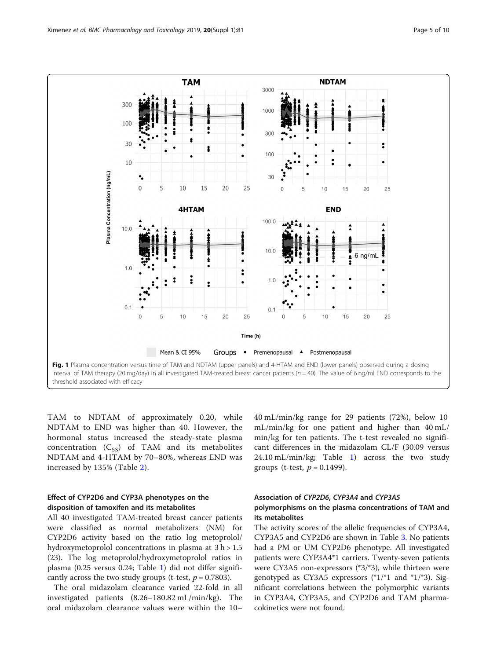<span id="page-4-0"></span>

TAM to NDTAM of approximately 0.20, while NDTAM to END was higher than 40. However, the hormonal status increased the steady-state plasma concentration  $(C_{SS})$  of TAM and its metabolites NDTAM and 4-HTAM by 70–80%, whereas END was increased by 135% (Table [2](#page-5-0)).

#### Effect of CYP2D6 and CYP3A phenotypes on the disposition of tamoxifen and its metabolites

All 40 investigated TAM-treated breast cancer patients were classified as normal metabolizers (NM) for CYP2D6 activity based on the ratio log metoprolol/ hydroxymetoprolol concentrations in plasma at 3 h > 1.5 (23). The log metoprolol/hydroxymetoprolol ratios in plasma (0.25 versus 0.24; Table [1](#page-3-0)) did not differ significantly across the two study groups (t-test,  $p = 0.7803$ ).

The oral midazolam clearance varied 22-fold in all investigated patients (8.26–180.82 mL/min/kg). The oral midazolam clearance values were within the 10– 40 mL/min/kg range for 29 patients (72%), below 10 mL/min/kg for one patient and higher than 40 mL/ min/kg for ten patients. The t-test revealed no significant differences in the midazolam CL/F (30.09 versus 24.10 mL/min/kg; Table [1](#page-3-0)) across the two study groups (t-test,  $p = 0.1499$ ).

#### Association of CYP2D6, CYP3A4 and CYP3A5

#### polymorphisms on the plasma concentrations of TAM and its metabolites

The activity scores of the allelic frequencies of CYP3A4, CYP3A5 and CYP2D6 are shown in Table [3.](#page-6-0) No patients had a PM or UM CYP2D6 phenotype. All investigated patients were CYP3A4\*1 carriers. Twenty-seven patients were CY3A5 non-expressors (\*3/\*3), while thirteen were genotyped as CY3A5 expressors (\*1/\*1 and \*1/\*3). Significant correlations between the polymorphic variants in CYP3A4, CYP3A5, and CYP2D6 and TAM pharmacokinetics were not found.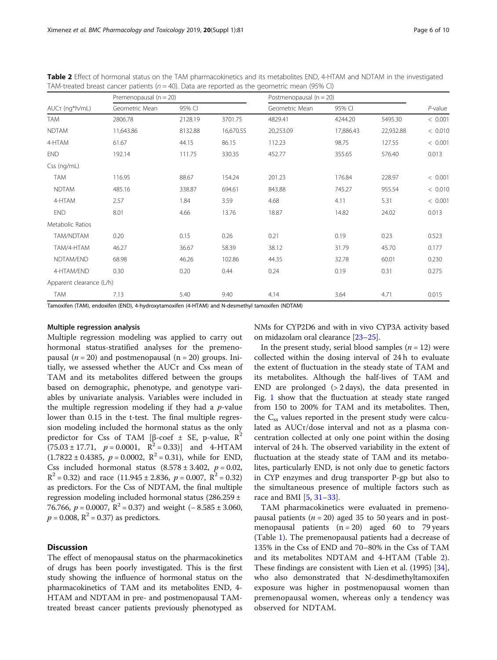|                          | Premenopausal ( $n = 20$ ) |         |           | Postmenopausal ( $n = 20$ ) |           |           |            |
|--------------------------|----------------------------|---------|-----------|-----------------------------|-----------|-----------|------------|
| AUCτ (ng*h/mL)           | Geometric Mean             | 95% CI  |           | Geometric Mean              | 95% CI    |           | $P$ -value |
| <b>TAM</b>               | 2806.78                    | 2128.19 | 3701.75   | 4829.41                     | 4244.20   | 5495.30   | < 0.001    |
| <b>NDTAM</b>             | 11,643.86                  | 8132.88 | 16,670.55 | 20,253.09                   | 17,886.43 | 22,932.88 | < 0.010    |
| 4-HTAM                   | 61.67                      | 44.15   | 86.15     | 112.23                      | 98.75     | 127.55    | < 0.001    |
| <b>END</b>               | 192.14                     | 111.75  | 330.35    | 452.77                      | 355.65    | 576.40    | 0.013      |
| Css (ng/mL)              |                            |         |           |                             |           |           |            |
| TAM                      | 116.95                     | 88.67   | 154.24    | 201.23                      | 176.84    | 228.97    | < 0.001    |
| <b>NDTAM</b>             | 485.16                     | 338.87  | 694.61    | 843.88                      | 745.27    | 955.54    | < 0.010    |
| 4-HTAM                   | 2.57                       | 1.84    | 3.59      | 4.68                        | 4.11      | 5.31      | < 0.001    |
| <b>END</b>               | 8.01                       | 4.66    | 13.76     | 18.87                       | 14.82     | 24.02     | 0.013      |
| Metabolic Ratios         |                            |         |           |                             |           |           |            |
| TAM/NDTAM                | 0.20                       | 0.15    | 0.26      | 0.21                        | 0.19      | 0.23      | 0.523      |
| TAM/4-HTAM               | 46.27                      | 36.67   | 58.39     | 38.12                       | 31.79     | 45.70     | 0.177      |
| NDTAM/END                | 68.98                      | 46.26   | 102.86    | 44.35                       | 32.78     | 60.01     | 0.230      |
| 4-HTAM/END               | 0.30                       | 0.20    | 0.44      | 0.24                        | 0.19      | 0.31      | 0.275      |
| Apparent clearance (L/h) |                            |         |           |                             |           |           |            |
| TAM                      | 7.13                       | 5.40    | 9.40      | 4.14                        | 3.64      | 4.71      | 0.015      |

<span id="page-5-0"></span>Table 2 Effect of hormonal status on the TAM pharmacokinetics and its metabolites END, 4-HTAM and NDTAM in the investigated TAM-treated breast cancer patients ( $n = 40$ ). Data are reported as the geometric mean (95% CI)

Tamoxifen (TAM), endoxifen (END), 4-hydroxytamoxifen (4-HTAM) and N-desmethyl tamoxifen (NDTAM)

#### Multiple regression analysis

Multiple regression modeling was applied to carry out hormonal status-stratified analyses for the premenopausal ( $n = 20$ ) and postmenopausal ( $n = 20$ ) groups. Initially, we assessed whether the AUCτ and Css mean of TAM and its metabolites differed between the groups based on demographic, phenotype, and genotype variables by univariate analysis. Variables were included in the multiple regression modeling if they had a  $p$ -value lower than 0.15 in the t-test. The final multiple regression modeling included the hormonal status as the only predictor for Css of TAM [β-coef  $\pm$  SE, p-value, R<sup>2</sup>  $(75.03 \pm 17.71, p = 0.0001, R^2 = 0.33)$  and 4-HTAM  $(1.7822 \pm 0.4385, p = 0.0002, R^2 = 0.31)$ , while for END, Css included hormonal status  $(8.578 \pm 3.402, p = 0.02,$  $R^2 = 0.32$ ) and race (11.945 ± 2.836,  $p = 0.007$ ,  $R^2 = 0.32$ ) as predictors. For the Css of NDTAM, the final multiple regression modeling included hormonal status (286.259 ± 76.766,  $p = 0.0007$ ,  $R^2 = 0.37$ ) and weight  $(-8.585 \pm 3.060)$ ,  $p = 0.008$ ,  $R^2 = 0.37$ ) as predictors.

#### **Discussion**

The effect of menopausal status on the pharmacokinetics of drugs has been poorly investigated. This is the first study showing the influence of hormonal status on the pharmacokinetics of TAM and its metabolites END, 4- HTAM and NDTAM in pre- and postmenopausal TAMtreated breast cancer patients previously phenotyped as NMs for CYP2D6 and with in vivo CYP3A activity based on midazolam oral clearance [\[23](#page-8-0)–[25\]](#page-8-0).

In the present study, serial blood samples ( $n = 12$ ) were collected within the dosing interval of 24 h to evaluate the extent of fluctuation in the steady state of TAM and its metabolites. Although the half-lives of TAM and END are prolonged  $(> 2 \text{ days})$ , the data presented in Fig. [1](#page-4-0) show that the fluctuation at steady state ranged from 150 to 200% for TAM and its metabolites. Then, the  $C_{ss}$  values reported in the present study were calculated as AUCτ/dose interval and not as a plasma concentration collected at only one point within the dosing interval of 24 h. The observed variability in the extent of fluctuation at the steady state of TAM and its metabolites, particularly END, is not only due to genetic factors in CYP enzymes and drug transporter P-gp but also to the simultaneous presence of multiple factors such as race and BMI [[5,](#page-8-0) [31](#page-8-0)–[33](#page-8-0)].

TAM pharmacokinetics were evaluated in premenopausal patients ( $n = 20$ ) aged 35 to 50 years and in postmenopausal patients  $(n = 20)$  aged 60 to 79 years (Table [1\)](#page-3-0). The premenopausal patients had a decrease of 135% in the Css of END and 70–80% in the Css of TAM and its metabolites NDTAM and 4-HTAM (Table 2). These findings are consistent with Lien et al. (1995) [\[34](#page-8-0)], who also demonstrated that N-desdimethyltamoxifen exposure was higher in postmenopausal women than premenopausal women, whereas only a tendency was observed for NDTAM.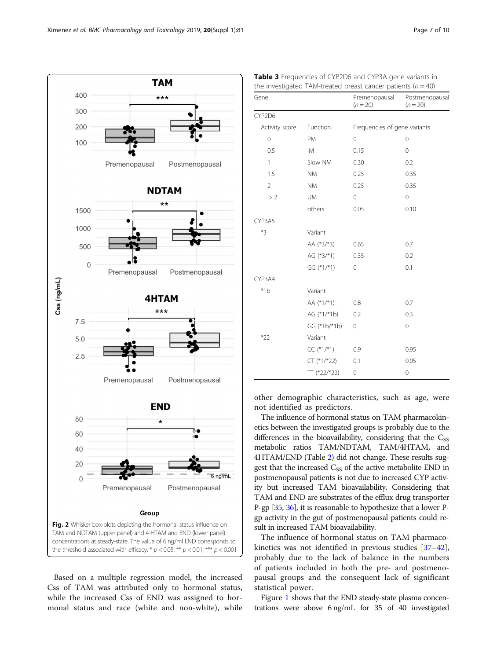<span id="page-6-0"></span>

Based on a multiple regression model, the increased Css of TAM was attributed only to hormonal status, while the increased Css of END was assigned to hormonal status and race (white and non-white), while

| Gene           |               | Premenopausal<br>$(n = 20)$  | Postmenopausal<br>$(n = 20)$ |
|----------------|---------------|------------------------------|------------------------------|
| CYP2D6         |               |                              |                              |
| Activity score | Function      | Frequencies of gene variants |                              |
| $\overline{0}$ | PM            | $\mathbf 0$                  | $\mathbf 0$                  |
| 0.5            | <b>IM</b>     | 0.15                         | $\mathbf 0$                  |
| $\mathbf{1}$   | Slow NM       | 0.30                         | 0.2                          |
| 1.5            | <b>NM</b>     | 0.25                         | 0.35                         |
| $\overline{2}$ | <b>NM</b>     | 0.25                         | 0.35                         |
| >2             | <b>UM</b>     | $\Omega$                     | 0                            |
|                | others        | 0.05                         | 0.10                         |
| CYP3A5         |               |                              |                              |
| $*3$           | Variant       |                              |                              |
|                | AA (*3/*3)    | 0.65                         | 0.7                          |
|                | AG $(*3/*1)$  | 0.35                         | 0.2                          |
|                | GG (*1/*1)    | $\mathbf 0$                  | 0.1                          |
| CYP3A4         |               |                              |                              |
| $*1b$          | Variant       |                              |                              |
|                | AA (*1/*1)    | 0.8                          | 0.7                          |
|                | AG (*1/*1b)   | 0.2                          | 0.3                          |
|                | GG (*1b/*1b)  | $\mathbf 0$                  | $\mathbf 0$                  |
| $*22$          | Variant       |                              |                              |
|                | $CC(*1/*1)$   | 0.9                          | 0.95                         |
|                | $CT (*1/*22)$ | 0.1                          | 0.05                         |
|                | TT (*22/*22)  | $\mathbf 0$                  | $\mathbf 0$                  |

Table 3 Frequencies of CYP2D6 and CYP3A gene variants in the investigated TAM-treated breast cancer patients  $(n = 40)$ 

other demographic characteristics, such as age, were not identified as predictors.

The influence of hormonal status on TAM pharmacokinetics between the investigated groups is probably due to the differences in the bioavailability, considering that the  $C_{SS}$ metabolic ratios TAM/NDTAM, TAM/4HTAM, and 4HTAM/END (Table [2](#page-5-0)) did not change. These results suggest that the increased  $C_{SS}$  of the active metabolite END in postmenopausal patients is not due to increased CYP activity but increased TAM bioavailability. Considering that TAM and END are substrates of the efflux drug transporter P-gp [[35](#page-8-0), [36](#page-8-0)], it is reasonable to hypothesize that a lower Pgp activity in the gut of postmenopausal patients could result in increased TAM bioavailability.

The influence of hormonal status on TAM pharmacokinetics was not identified in previous studies [[37](#page-8-0)–[42](#page-9-0)], probably due to the lack of balance in the numbers of patients included in both the pre- and postmenopausal groups and the consequent lack of significant statistical power.

Figure [1](#page-4-0) shows that the END steady-state plasma concentrations were above 6 ng/mL for 35 of 40 investigated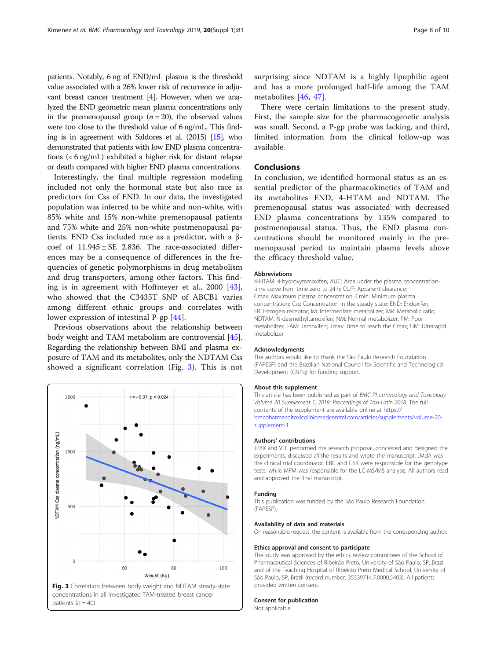patients. Notably, 6 ng of END/mL plasma is the threshold value associated with a 26% lower risk of recurrence in adjuvant breast cancer treatment [\[4](#page-8-0)]. However, when we analyzed the END geometric mean plasma concentrations only in the premenopausal group  $(n = 20)$ , the observed values were too close to the threshold value of 6 ng/mL. This finding is in agreement with Saldores et al. (2015) [\[15](#page-8-0)], who demonstrated that patients with low END plasma concentrations (< 6 ng/mL) exhibited a higher risk for distant relapse or death compared with higher END plasma concentrations.

Interestingly, the final multiple regression modeling included not only the hormonal state but also race as predictors for Css of END. In our data, the investigated population was inferred to be white and non-white, with 85% white and 15% non-white premenopausal patients and 75% white and 25% non-white postmenopausal patients. END Css included race as a predictor, with a βcoef of  $11.945 \pm SE$  2.836. The race-associated differences may be a consequence of differences in the frequencies of genetic polymorphisms in drug metabolism and drug transporters, among other factors. This finding is in agreement with Hoffmeyer et al., 2000 [\[43](#page-9-0)], who showed that the C3435T SNP of ABCB1 varies among different ethnic groups and correlates with lower expression of intestinal P-gp [[44\]](#page-9-0).

Previous observations about the relationship between body weight and TAM metabolism are controversial [[45](#page-9-0)]. Regarding the relationship between BMI and plasma exposure of TAM and its metabolites, only the NDTAM Css showed a significant correlation (Fig. 3). This is not



patients  $(n = 40)$ 

surprising since NDTAM is a highly lipophilic agent and has a more prolonged half-life among the TAM metabolites [[46,](#page-9-0) [47\]](#page-9-0).

There were certain limitations to the present study. First, the sample size for the pharmacogenetic analysis was small. Second, a P-gp probe was lacking, and third, limited information from the clinical follow-up was available.

#### Conclusions

In conclusion, we identified hormonal status as an essential predictor of the pharmacokinetics of TAM and its metabolites END, 4-HTAM and NDTAM. The premenopausal status was associated with decreased END plasma concentrations by 135% compared to postmenopausal status. Thus, the END plasma concentrations should be monitored mainly in the premenopausal period to maintain plasma levels above the efficacy threshold value.

#### Abbreviations

4-HTAM: 4-hydroxytamoxifen; AUC: Area under the plasma concentrationtime curve from time zero to 24 h; CL/F: Apparent clearance; Cmax: Maximum plasma concentration; Cmin: Minimum plasma concentration; Css: Concentration in the steady state; END: Endoxifen; ER: Estrogen receptor; IM: Intermediate metabolizer; MR: Metabolic ratio; NDTAM: N-desmethyltamoxifen; NM: Normal metabolizer; PM: Poor metabolizer; TAM: Tamoxifen; Tmax: Time to reach the Cmax; UM: Ultrarapid metabolizer

#### Acknowledgments

The authors would like to thank the São Paulo Research Foundation (FAPESP) and the Brazilian National Council for Scientific and Technological Development (CNPq) for funding support.

#### About this supplement

This article has been published as part of BMC Pharmacology and Toxicology Volume 20 Supplement 1, 2019: Proceedings of Toxi-Latin 2018. The full contents of the supplement are available online at [https://](https://bmcpharmacoltoxicol.biomedcentral.com/articles/supplements/volume-20-supplement-1) [bmcpharmacoltoxicol.biomedcentral.com/articles/supplements/volume-20](https://bmcpharmacoltoxicol.biomedcentral.com/articles/supplements/volume-20-supplement-1) [supplement-1](https://bmcpharmacoltoxicol.biomedcentral.com/articles/supplements/volume-20-supplement-1).

#### Authors' contributions

JPBX and VLL performed the research proposal, conceived and designed the experiments, discussed all the results and wrote the manuscript. JMdA was the clinical trial coordinator. EBC and GSK were responsible for the genotype tests, while MPM was responsible for the LC-MS/MS analysis. All authors read and approved the final manuscript.

#### Funding

This publication was funded by the São Paulo Research Foundation (FAPESP).

#### Availability of data and materials

On reasonable request, the content is available from the corresponding author.

#### Ethics approval and consent to participate

The study was approved by the ethics review committees of the School of Pharmaceutical Sciences of Ribeirão Preto, University of São Paulo, SP, Brazil and of the Teaching Hospital of Ribeirão Preto Medical School, University of São Paulo, SP, Brazil (record number: 35539714.7.0000.5403). All patients provided written consent.

#### Consent for publication

Not applicable.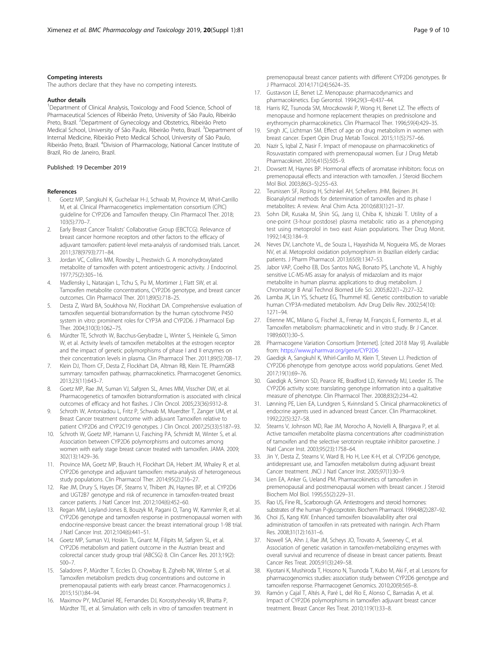#### <span id="page-8-0"></span>Competing interests

The authors declare that they have no competing interests.

#### Author details

<sup>1</sup>Department of Clinical Analysis, Toxicology and Food Science, School of Pharmaceutical Sciences of Ribeirão Preto, University of São Paulo, Ribeirão Preto, Brazil. <sup>2</sup>Department of Gynecology and Obstetrics, Ribeirão Preto Medical School, University of São Paulo, Ribeirão Preto, Brazil. <sup>3</sup>Department of Internal Medicine, Ribeirão Preto Medical School, University of São Paulo, Ribeirão Preto, Brazil. <sup>4</sup>Division of Pharmacology, National Cancer Institute of Brazil, Rio de Janeiro, Brazil.

#### Published: 19 December 2019

#### References

- 1. Goetz MP, Sangkuhl K, Guchelaar H-J, Schwab M, Province M, Whirl-Carrillo M, et al. Clinical Pharmacogenetics implementation consortium (CPIC) guideline for CYP2D6 and Tamoxifen therapy. Clin Pharmacol Ther. 2018; 103(5):770–7.
- 2. Early Breast Cancer Trialists' Collaborative Group (EBCTCG). Relevance of breast cancer hormone receptors and other factors to the efficacy of adjuvant tamoxifen: patient-level meta-analysis of randomised trials. Lancet. 2011;378(9793):771–84.
- 3. Jordan VC, Collins MM, Rowsby L, Prestwich G. A monohydroxylated metabolite of tamoxifen with potent antioestrogenic activity. J Endocrinol. 1977;75(2):305–16.
- 4. Madlensky L, Natarajan L, Tchu S, Pu M, Mortimer J, Flatt SW, et al. Tamoxifen metabolite concentrations, CYP2D6 genotype, and breast cancer outcomes. Clin Pharmacol Ther. 2011;89(5):718–25.
- Desta Z, Ward BA, Soukhova NV, Flockhart DA. Comprehensive evaluation of tamoxifen sequential biotransformation by the human cytochrome P450 system in vitro: prominent roles for CYP3A and CYP2D6. J Pharmacol Exp Ther. 2004;310(3):1062–75.
- 6. Mürdter TE, Schroth W, Bacchus-Gerybadze L, Winter S, Heinkele G, Simon W, et al. Activity levels of tamoxifen metabolites at the estrogen receptor and the impact of genetic polymorphisms of phase I and II enzymes on their concentration levels in plasma. Clin Pharmacol Ther. 2011;89(5):708–17.
- 7. Klein DJ, Thorn CF, Desta Z, Flockhart DA, Altman RB, Klein TE. PharmGKB summary: tamoxifen pathway, pharmacokinetics. Pharmacogenet Genomics. 2013;23(11):643–7.
- 8. Goetz MP, Rae JM, Suman VJ, Safgren SL, Ames MM, Visscher DW, et al. Pharmacogenetics of tamoxifen biotransformation is associated with clinical outcomes of efficacy and hot flashes. J Clin Oncol. 2005;23(36):9312–8.
- Schroth W, Antoniadou L, Fritz P, Schwab M, Muerdter T, Zanger UM, et al. Breast Cancer treatment outcome with adjuvant Tamoxifen relative to patient CYP2D6 and CYP2C19 genotypes. J Clin Oncol. 2007;25(33):5187–93.
- 10. Schroth W, Goetz MP, Hamann U, Fasching PA, Schmidt M, Winter S, et al. Association between CYP2D6 polymorphisms and outcomes among women with early stage breast cancer treated with tamoxifen. JAMA. 2009; 302(13):1429–36.
- 11. Province MA, Goetz MP, Brauch H, Flockhart DA, Hebert JM, Whaley R, et al. CYP2D6 genotype and adjuvant tamoxifen: meta-analysis of heterogeneous study populations. Clin Pharmacol Ther. 2014;95(2):216–27.
- 12. Rae JM, Drury S, Hayes DF, Stearns V, Thibert JN, Haynes BP, et al. CYP2D6 and UGT2B7 genotype and risk of recurrence in tamoxifen-treated breast cancer patients. J Natl Cancer Inst. 2012;104(6):452–60.
- 13. Regan MM, Leyland-Jones B, Bouzyk M, Pagani O, Tang W, Kammler R, et al. CYP2D6 genotype and tamoxifen response in postmenopausal women with endocrine-responsive breast cancer: the breast international group 1-98 trial. J Natl Cancer Inst. 2012;104(6):441–51.
- 14. Goetz MP, Suman VJ, Hoskin TL, Gnant M, Filipits M, Safgren SL, et al. CYP2D6 metabolism and patient outcome in the Austrian breast and colorectal cancer study group trial (ABCSG) 8. Clin Cancer Res. 2013;19(2): 500–7.
- 15. Saladores P, Mürdter T, Eccles D, Chowbay B, Zgheib NK, Winter S, et al. Tamoxifen metabolism predicts drug concentrations and outcome in premenopausal patients with early breast cancer. Pharmacogenomics J. 2015;15(1):84–94.
- 16. Maximov PY, McDaniel RE, Fernandes DJ, Korostyshevskiy VR, Bhatta P, Mürdter TE, et al. Simulation with cells in vitro of tamoxifen treatment in

premenopausal breast cancer patients with different CYP2D6 genotypes. Br J Pharmacol. 2014;171(24):5624–35.

- 17. Gustavson LE, Benet LZ. Menopause: pharmacodynamics and pharmacokinetics. Exp Gerontol. 1994;29(3–4):437–44.
- 18. Harris RZ, Tsunoda SM, Mroczkowski P, Wong H, Benet LZ. The effects of menopause and hormone replacement therapies on prednisolone and erythromycin pharmacokinetics. Clin Pharmacol Ther. 1996;59(4):429–35.
- 19. Singh JC, Lichtman SM. Effect of age on drug metabolism in women with breast cancer. Expert Opin Drug Metab Toxicol. 2015;11(5):757–66.
- 20. Nazir S, Iqbal Z, Nasir F. Impact of menopause on pharmacokinetics of Rosuvastatin compared with premenopausal women. Eur J Drug Metab Pharmacokinet. 2016;41(5):505–9.
- 21. Dowsett M, Haynes BP. Hormonal effects of aromatase inhibitors: focus on premenopausal effects and interaction with tamoxifen. J Steroid Biochem Mol Biol. 2003;86(3–5):255–63.
- 22. Teunissen SF, Rosing H, Schinkel AH, Schellens JHM, Beijnen JH. Bioanalytical methods for determination of tamoxifen and its phase I metabolites: A review. Anal Chim Acta. 2010;683(1):21–37.
- 23. Sohn DR, Kusaka M, Shin SG, Jang IJ, Chiba K, Ishizaki T. Utility of a one-point (3-hour postdose) plasma metabolic ratio as a phenotyping test using metoprolol in two east Asian populations. Ther Drug Monit. 1992;14(3):184–9.
- 24. Neves DV, Lanchote VL, de Souza L, Hayashida M, Nogueira MS, de Moraes NV, et al. Metoprolol oxidation polymorphism in Brazilian elderly cardiac patients. J Pharm Pharmacol. 2013;65(9):1347–53.
- 25. Jabor VAP, Coelho EB, Dos Santos NAG, Bonato PS, Lanchote VL. A highly sensitive LC-MS-MS assay for analysis of midazolam and its major metabolite in human plasma: applications to drug metabolism. J Chromatogr B Anal Technol Biomed Life Sci. 2005;822(1–2):27–32.
- 26. Lamba JK, Lin YS, Schuetz EG, Thummel KE. Genetic contribution to variable human CYP3A-mediated metabolism. Adv Drug Deliv Rev. 2002;54(10): 1271–94.
- 27. Etienne MC, Milano G, Fischel JL, Frenay M, François E, Formento JL, et al. Tamoxifen metabolism: pharmacokinetic and in vitro study. Br J Cancer. 1989;60(1):30–5.
- 28. Pharmacogene Variation Consortium [Internet]. [cited 2018 May 9]. Available from: <https://www.pharmvar.org/gene/CYP2D6>
- 29. Gaedigk A, Sangkuhl K, Whirl-Carrillo M, Klein T, Steven LJ. Prediction of CYP2D6 phenotype from genotype across world populations. Genet Med. 2017;19(1):69–76.
- 30. Gaedigk A, Simon SD, Pearce RE, Bradford LD, Kennedy MJ, Leeder JS. The CYP2D6 activity score: translating genotype information into a qualitative measure of phenotype. Clin Pharmacol Ther. 2008;83(2):234–42.
- 31. Lønning PE, Lien EA, Lundgren S, Kvinnsland S. Clinical pharmacokinetics of endocrine agents used in advanced breast Cancer. Clin Pharmacokinet. 1992;22(5):327–58.
- 32. Stearns V, Johnson MD, Rae JM, Morocho A, Novielli A, Bhargava P, et al. Active tamoxifen metabolite plasma concentrations after coadministration of tamoxifen and the selective serotonin reuptake inhibitor paroxetine. J Natl Cancer Inst. 2003;95(23):1758–64.
- 33. Jin Y, Desta Z, Stearns V, Ward B, Ho H, Lee K-H, et al. CYP2D6 genotype, antidepressant use, and Tamoxifen metabolism during adjuvant breast Cancer treatment. JNCI J Natl Cancer Inst. 2005;97(1):30–9.
- 34. Lien EA, Anker G, Ueland PM. Pharmacokinetics of tamoxifen in premenopausal and postmenopausal women with breast cancer. J Steroid Biochem Mol Biol. 1995;55(2):229–31.
- 35. Rao US, Fine RL, Scarborough GA. Antiestrogens and steroid hormones: substrates of the human P-glycoprotein. Biochem Pharmacol. 1994;48(2):287–92.
- 36. Choi JS, Kang KW. Enhanced tamoxifen bioavailability after oral administration of tamoxifen in rats pretreated with naringin. Arch Pharm Res. 2008;31(12):1631–6.
- 37. Nowell SA, Ahn J, Rae JM, Scheys JO, Trovato A, Sweeney C, et al. Association of genetic variation in tamoxifen-metabolizing enzymes with overall survival and recurrence of disease in breast cancer patients. Breast Cancer Res Treat. 2005;91(3):249–58.
- 38. Kiyotani K, Mushiroda T, Hosono N, Tsunoda T, Kubo M, Aki F, et al. Lessons for pharmacogenomics studies: association study between CYP2D6 genotype and tamoxifen response. Pharmacogenet Genomics. 2010;20(9):565–8.
- 39. Ramón y Cajal T, Altés A, Paré L, del Rio E, Alonso C, Barnadas A, et al. Impact of CYP2D6 polymorphisms in tamoxifen adjuvant breast cancer treatment. Breast Cancer Res Treat. 2010;119(1):33–8.